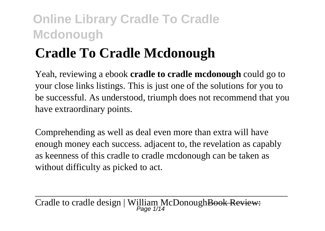# **Cradle To Cradle Mcdonough**

Yeah, reviewing a ebook **cradle to cradle mcdonough** could go to your close links listings. This is just one of the solutions for you to be successful. As understood, triumph does not recommend that you have extraordinary points.

Comprehending as well as deal even more than extra will have enough money each success. adjacent to, the revelation as capably as keenness of this cradle to cradle mcdonough can be taken as without difficulty as picked to act.

Cradle to cradle design | William McDonough<del>Book Review:</del>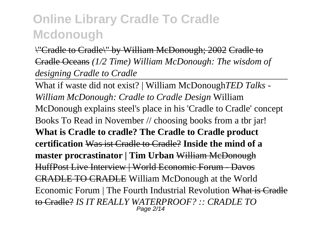\"Cradle to Cradle\" by William McDonough; 2002 Cradle to Cradle Oceans *(1/2 Time) William McDonough: The wisdom of designing Cradle to Cradle*

What if waste did not exist? | William McDonough*TED Talks - William McDonough: Cradle to Cradle Design* William McDonough explains steel's place in his 'Cradle to Cradle' concept Books To Read in November // choosing books from a tbr jar! **What is Cradle to cradle? The Cradle to Cradle product certification** Was ist Cradle to Cradle? **Inside the mind of a master procrastinator | Tim Urban** William McDonough HuffPost Live Interview | World Economic Forum - Davos CRADLE TO CRADLE William McDonough at the World Economic Forum | The Fourth Industrial Revolution What is Cradle to Cradle? *IS IT REALLY WATERPROOF? :: CRADLE TO* Page 2/14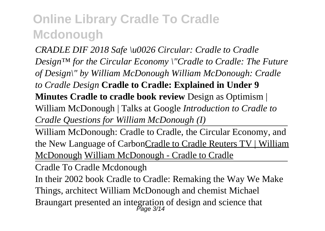*CRADLE DIF 2018 Safe \u0026 Circular: Cradle to Cradle Design™ for the Circular Economy \"Cradle to Cradle: The Future of Design\" by William McDonough William McDonough: Cradle to Cradle Design* **Cradle to Cradle: Explained in Under 9 Minutes Cradle to cradle book review** Design as Optimism | William McDonough | Talks at Google *Introduction to Cradle to Cradle Questions for William McDonough (I)*

William McDonough: Cradle to Cradle, the Circular Economy, and the New Language of CarbonCradle to Cradle Reuters TV | William McDonough William McDonough - Cradle to Cradle

Cradle To Cradle Mcdonough

In their 2002 book Cradle to Cradle: Remaking the Way We Make Things, architect William McDonough and chemist Michael Braungart presented an integration of design and science that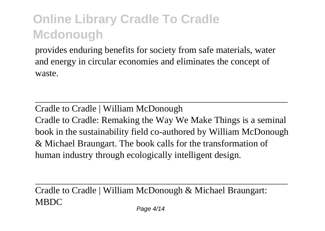provides enduring benefits for society from safe materials, water and energy in circular economies and eliminates the concept of waste.

Cradle to Cradle | William McDonough Cradle to Cradle: Remaking the Way We Make Things is a seminal book in the sustainability field co-authored by William McDonough & Michael Braungart. The book calls for the transformation of human industry through ecologically intelligent design.

Cradle to Cradle | William McDonough & Michael Braungart: MBDC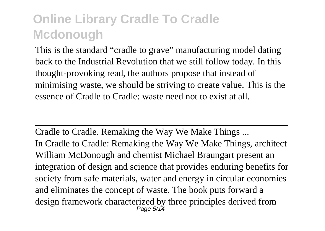This is the standard "cradle to grave" manufacturing model dating back to the Industrial Revolution that we still follow today. In this thought-provoking read, the authors propose that instead of minimising waste, we should be striving to create value. This is the essence of Cradle to Cradle: waste need not to exist at all.

Cradle to Cradle. Remaking the Way We Make Things ... In Cradle to Cradle: Remaking the Way We Make Things, architect William McDonough and chemist Michael Braungart present an integration of design and science that provides enduring benefits for society from safe materials, water and energy in circular economies and eliminates the concept of waste. The book puts forward a design framework characterized by three principles derived from Page 5/14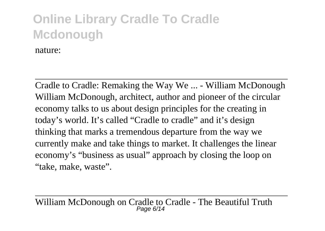nature:

Cradle to Cradle: Remaking the Way We ... - William McDonough William McDonough, architect, author and pioneer of the circular economy talks to us about design principles for the creating in today's world. It's called "Cradle to cradle" and it's design thinking that marks a tremendous departure from the way we currently make and take things to market. It challenges the linear economy's "business as usual" approach by closing the loop on "take, make, waste".

William McDonough on Cradle to Cradle - The Beautiful Truth<br>  $P_{\text{age 6/14}}$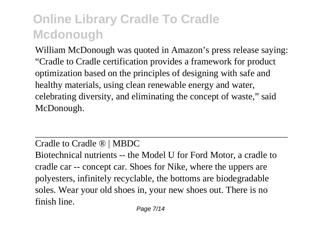William McDonough was quoted in Amazon's press release saying: "Cradle to Cradle certification provides a framework for product optimization based on the principles of designing with safe and healthy materials, using clean renewable energy and water, celebrating diversity, and eliminating the concept of waste," said McDonough.

Cradle to Cradle ® | MBDC

Biotechnical nutrients -- the Model U for Ford Motor, a cradle to cradle car -- concept car. Shoes for Nike, where the uppers are polyesters, infinitely recyclable, the bottoms are biodegradable soles. Wear your old shoes in, your new shoes out. There is no finish line.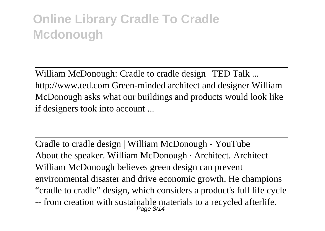William McDonough: Cradle to cradle design | TED Talk ... http://www.ted.com Green-minded architect and designer William McDonough asks what our buildings and products would look like if designers took into account ...

Cradle to cradle design | William McDonough - YouTube About the speaker. William McDonough · Architect. Architect William McDonough believes green design can prevent environmental disaster and drive economic growth. He champions "cradle to cradle" design, which considers a product's full life cycle -- from creation with sustainable materials to a recycled afterlife.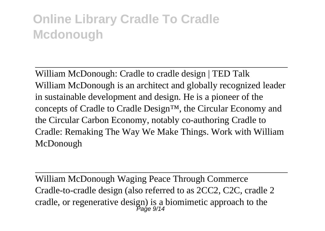William McDonough: Cradle to cradle design | TED Talk William McDonough is an architect and globally recognized leader in sustainable development and design. He is a pioneer of the concepts of Cradle to Cradle Design™, the Circular Economy and the Circular Carbon Economy, notably co-authoring Cradle to Cradle: Remaking The Way We Make Things. Work with William McDonough

William McDonough Waging Peace Through Commerce Cradle-to-cradle design (also referred to as 2CC2, C2C, cradle 2 cradle, or regenerative design) is a biomimetic approach to the Page 9/14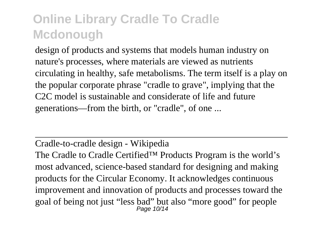design of products and systems that models human industry on nature's processes, where materials are viewed as nutrients circulating in healthy, safe metabolisms. The term itself is a play on the popular corporate phrase "cradle to grave", implying that the C2C model is sustainable and considerate of life and future generations—from the birth, or "cradle", of one ...

#### Cradle-to-cradle design - Wikipedia

The Cradle to Cradle Certified™ Products Program is the world's most advanced, science-based standard for designing and making products for the Circular Economy. It acknowledges continuous improvement and innovation of products and processes toward the goal of being not just "less bad" but also "more good" for people Page 10/14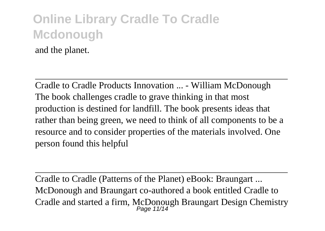and the planet.

Cradle to Cradle Products Innovation ... - William McDonough The book challenges cradle to grave thinking in that most production is destined for landfill. The book presents ideas that rather than being green, we need to think of all components to be a resource and to consider properties of the materials involved. One person found this helpful

Cradle to Cradle (Patterns of the Planet) eBook: Braungart ... McDonough and Braungart co-authored a book entitled Cradle to Cradle and started a firm, McDonough Braungart Design Chemistry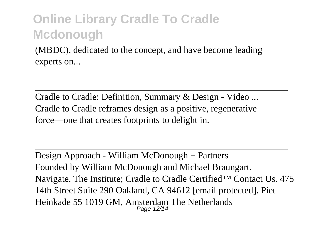(MBDC), dedicated to the concept, and have become leading experts on...

Cradle to Cradle: Definition, Summary & Design - Video ... Cradle to Cradle reframes design as a positive, regenerative force—one that creates footprints to delight in.

Design Approach - William McDonough + Partners Founded by William McDonough and Michael Braungart. Navigate. The Institute; Cradle to Cradle Certified™ Contact Us. 475 14th Street Suite 290 Oakland, CA 94612 [email protected]. Piet Heinkade 55 1019 GM, Amsterdam The Netherlands Page 12/14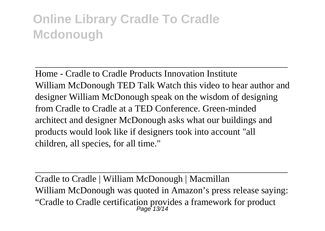Home - Cradle to Cradle Products Innovation Institute William McDonough TED Talk Watch this video to hear author and designer William McDonough speak on the wisdom of designing from Cradle to Cradle at a TED Conference. Green-minded architect and designer McDonough asks what our buildings and products would look like if designers took into account "all children, all species, for all time."

Cradle to Cradle | William McDonough | Macmillan William McDonough was quoted in Amazon's press release saying: "Cradle to Cradle certification provides a framework for product Page 13/14